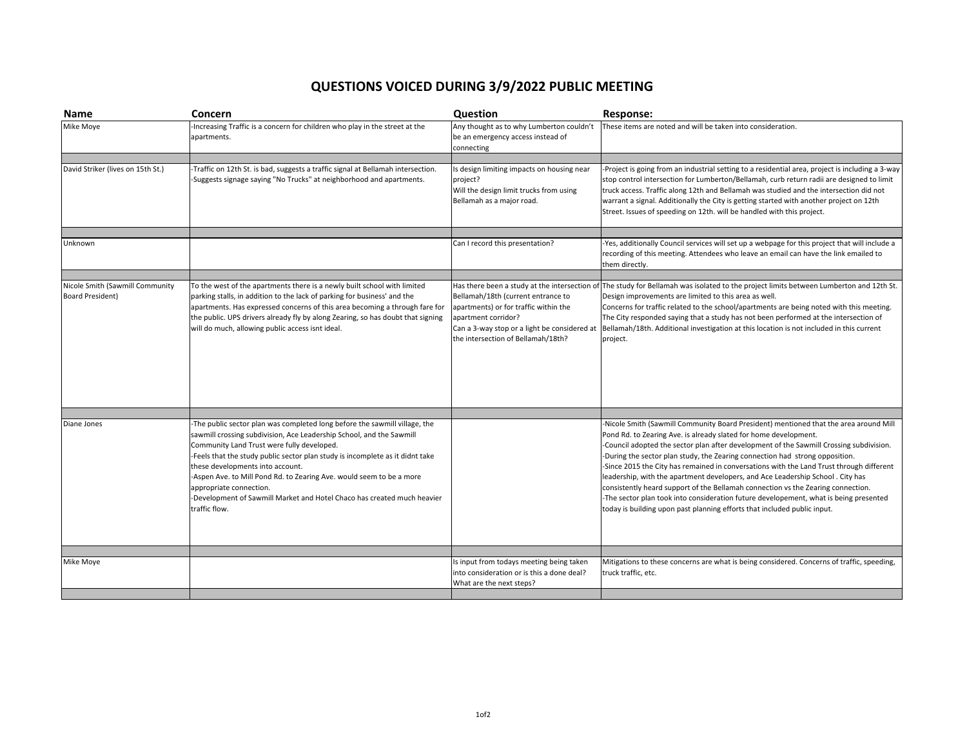### **QUESTIONS VOICED DURING 3/9/2022 PUBLIC MEETING**

| Name                                                       | Concern                                                                                                                                                                                                                                                                                                                                                                                                                                                                                                              | Question                                                                                                                                                                                 | Response:                                                                                                                                                                                                                                                                                                                                                                                                                                                                                                                                                                                                                                                                                                                                                              |
|------------------------------------------------------------|----------------------------------------------------------------------------------------------------------------------------------------------------------------------------------------------------------------------------------------------------------------------------------------------------------------------------------------------------------------------------------------------------------------------------------------------------------------------------------------------------------------------|------------------------------------------------------------------------------------------------------------------------------------------------------------------------------------------|------------------------------------------------------------------------------------------------------------------------------------------------------------------------------------------------------------------------------------------------------------------------------------------------------------------------------------------------------------------------------------------------------------------------------------------------------------------------------------------------------------------------------------------------------------------------------------------------------------------------------------------------------------------------------------------------------------------------------------------------------------------------|
| Mike Moye                                                  | -Increasing Traffic is a concern for children who play in the street at the<br>apartments.                                                                                                                                                                                                                                                                                                                                                                                                                           | Any thought as to why Lumberton couldn't<br>be an emergency access instead of<br>connecting                                                                                              | These items are noted and will be taken into consideration.                                                                                                                                                                                                                                                                                                                                                                                                                                                                                                                                                                                                                                                                                                            |
|                                                            |                                                                                                                                                                                                                                                                                                                                                                                                                                                                                                                      |                                                                                                                                                                                          |                                                                                                                                                                                                                                                                                                                                                                                                                                                                                                                                                                                                                                                                                                                                                                        |
| David Striker (lives on 15th St.)                          | -Traffic on 12th St. is bad, suggests a traffic signal at Bellamah intersection.<br>-Suggests signage saying "No Trucks" at neighborhood and apartments.                                                                                                                                                                                                                                                                                                                                                             | Is design limiting impacts on housing near<br>project?<br>Will the design limit trucks from using<br>Bellamah as a major road.                                                           | Project is going from an industrial setting to a residential area, project is including a 3-way<br>stop control intersection for Lumberton/Bellamah, curb return radii are designed to limit<br>truck access. Traffic along 12th and Bellamah was studied and the intersection did not<br>warrant a signal. Additionally the City is getting started with another project on 12th<br>Street. Issues of speeding on 12th. will be handled with this project.                                                                                                                                                                                                                                                                                                            |
|                                                            |                                                                                                                                                                                                                                                                                                                                                                                                                                                                                                                      |                                                                                                                                                                                          |                                                                                                                                                                                                                                                                                                                                                                                                                                                                                                                                                                                                                                                                                                                                                                        |
| Jnknown                                                    |                                                                                                                                                                                                                                                                                                                                                                                                                                                                                                                      | Can I record this presentation?                                                                                                                                                          | Yes, additionally Council services will set up a webpage for this project that will include a<br>recording of this meeting. Attendees who leave an email can have the link emailed to<br>them directly.                                                                                                                                                                                                                                                                                                                                                                                                                                                                                                                                                                |
|                                                            |                                                                                                                                                                                                                                                                                                                                                                                                                                                                                                                      |                                                                                                                                                                                          |                                                                                                                                                                                                                                                                                                                                                                                                                                                                                                                                                                                                                                                                                                                                                                        |
| Nicole Smith (Sawmill Community<br><b>Board President)</b> | To the west of the apartments there is a newly built school with limited<br>parking stalls, in addition to the lack of parking for business' and the<br>apartments. Has expressed concerns of this area becoming a through fare for<br>the public. UPS drivers already fly by along Zearing, so has doubt that signing<br>will do much, allowing public access isnt ideal.                                                                                                                                           | Bellamah/18th (current entrance to<br>apartments) or for traffic within the<br>apartment corridor?<br>Can a 3-way stop or a light be considered at<br>the intersection of Bellamah/18th? | Has there been a study at the intersection of The study for Bellamah was isolated to the project limits between Lumberton and 12th St.<br>Design improvements are limited to this area as well.<br>Concerns for traffic related to the school/apartments are being noted with this meeting.<br>The City responded saying that a study has not been performed at the intersection of<br>Bellamah/18th. Additional investigation at this location is not included in this current<br>project.                                                                                                                                                                                                                                                                            |
|                                                            |                                                                                                                                                                                                                                                                                                                                                                                                                                                                                                                      |                                                                                                                                                                                          |                                                                                                                                                                                                                                                                                                                                                                                                                                                                                                                                                                                                                                                                                                                                                                        |
| Diane Jones                                                | -The public sector plan was completed long before the sawmill village, the<br>sawmill crossing subdivision, Ace Leadership School, and the Sawmill<br>Community Land Trust were fully developed.<br>-Feels that the study public sector plan study is incomplete as it didnt take<br>these developments into account.<br>-Aspen Ave. to Mill Pond Rd. to Zearing Ave. would seem to be a more<br>appropriate connection.<br>-Development of Sawmill Market and Hotel Chaco has created much heavier<br>traffic flow. |                                                                                                                                                                                          | Nicole Smith (Sawmill Community Board President) mentioned that the area around Mill<br>Pond Rd. to Zearing Ave. is already slated for home development.<br>Council adopted the sector plan after development of the Sawmill Crossing subdivision.<br>During the sector plan study, the Zearing connection had strong opposition.<br>Since 2015 the City has remained in conversations with the Land Trust through different<br>leadership, with the apartment developers, and Ace Leadership School. City has<br>consistently heard support of the Bellamah connection vs the Zearing connection.<br>The sector plan took into consideration future developement, what is being presented<br>today is building upon past planning efforts that included public input. |
|                                                            |                                                                                                                                                                                                                                                                                                                                                                                                                                                                                                                      |                                                                                                                                                                                          |                                                                                                                                                                                                                                                                                                                                                                                                                                                                                                                                                                                                                                                                                                                                                                        |
| Mike Moye                                                  |                                                                                                                                                                                                                                                                                                                                                                                                                                                                                                                      | Is input from todays meeting being taken<br>into consideration or is this a done deal?<br>What are the next steps?                                                                       | Mitigations to these concerns are what is being considered. Concerns of traffic, speeding,<br>truck traffic, etc.                                                                                                                                                                                                                                                                                                                                                                                                                                                                                                                                                                                                                                                      |
|                                                            |                                                                                                                                                                                                                                                                                                                                                                                                                                                                                                                      |                                                                                                                                                                                          |                                                                                                                                                                                                                                                                                                                                                                                                                                                                                                                                                                                                                                                                                                                                                                        |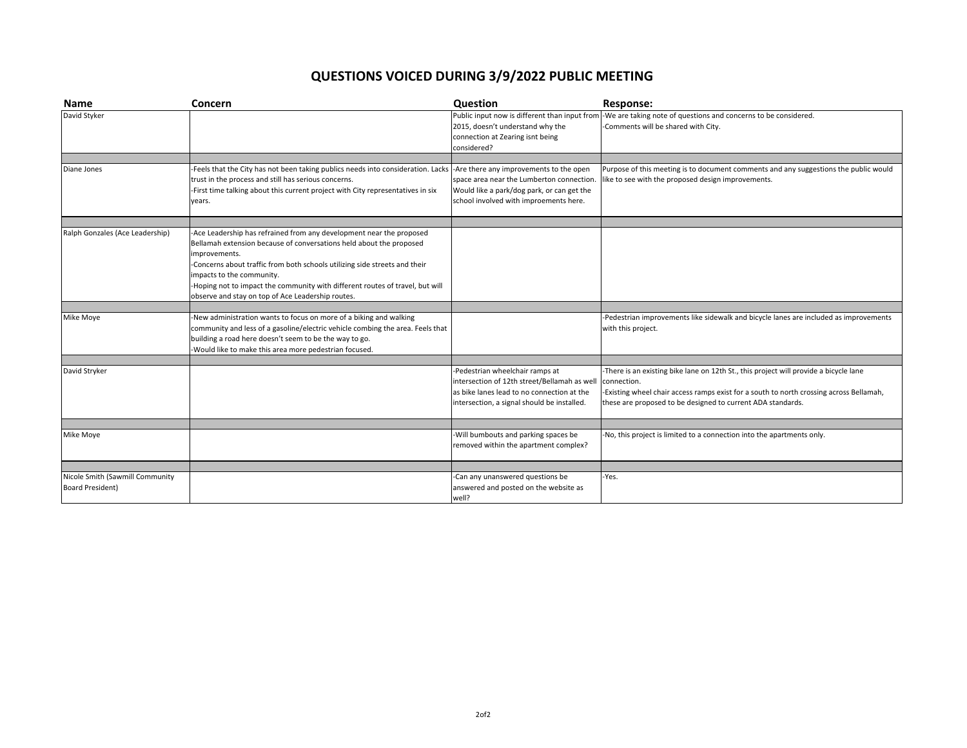### **QUESTIONS VOICED DURING 3/9/2022 PUBLIC MEETING**

| <b>Name</b>                                                | Concern                                                                                                                                                                                                                                                                                                                                                                                                       | Question                                                                                                                                                                     | <b>Response:</b>                                                                                                                                                                                                                                              |
|------------------------------------------------------------|---------------------------------------------------------------------------------------------------------------------------------------------------------------------------------------------------------------------------------------------------------------------------------------------------------------------------------------------------------------------------------------------------------------|------------------------------------------------------------------------------------------------------------------------------------------------------------------------------|---------------------------------------------------------------------------------------------------------------------------------------------------------------------------------------------------------------------------------------------------------------|
| David Styker                                               |                                                                                                                                                                                                                                                                                                                                                                                                               | Public input now is different than input fror<br>2015, doesn't understand why the<br>connection at Zearing isnt being<br>considered?                                         | -We are taking note of questions and concerns to be considered.<br>-Comments will be shared with City.                                                                                                                                                        |
|                                                            |                                                                                                                                                                                                                                                                                                                                                                                                               |                                                                                                                                                                              |                                                                                                                                                                                                                                                               |
| Diane Jones                                                | -Feels that the City has not been taking publics needs into consideration. Lacks  -Are there any improvements to the open<br>trust in the process and still has serious concerns.<br>-First time talking about this current project with City representatives in six<br>years.                                                                                                                                | space area near the Lumberton connection.<br>Would like a park/dog park, or can get the<br>school involved with improements here.                                            | Purpose of this meeting is to document comments and any suggestions the public would<br>like to see with the proposed design improvements.                                                                                                                    |
|                                                            |                                                                                                                                                                                                                                                                                                                                                                                                               |                                                                                                                                                                              |                                                                                                                                                                                                                                                               |
| Ralph Gonzales (Ace Leadership)                            | -Ace Leadership has refrained from any development near the proposed<br>Bellamah extension because of conversations held about the proposed<br>improvements.<br>-Concerns about traffic from both schools utilizing side streets and their<br>impacts to the community.<br>-Hoping not to impact the community with different routes of travel, but will<br>observe and stay on top of Ace Leadership routes. |                                                                                                                                                                              |                                                                                                                                                                                                                                                               |
|                                                            |                                                                                                                                                                                                                                                                                                                                                                                                               |                                                                                                                                                                              |                                                                                                                                                                                                                                                               |
| Mike Moye                                                  | -New administration wants to focus on more of a biking and walking<br>community and less of a gasoline/electric vehicle combing the area. Feels that<br>building a road here doesn't seem to be the way to go.<br>-Would like to make this area more pedestrian focused.                                                                                                                                      |                                                                                                                                                                              | -Pedestrian improvements like sidewalk and bicycle lanes are included as improvements<br>with this project.                                                                                                                                                   |
|                                                            |                                                                                                                                                                                                                                                                                                                                                                                                               |                                                                                                                                                                              |                                                                                                                                                                                                                                                               |
| David Stryker                                              |                                                                                                                                                                                                                                                                                                                                                                                                               | -Pedestrian wheelchair ramps at<br>intersection of 12th street/Bellamah as well<br>as bike lanes lead to no connection at the<br>intersection, a signal should be installed. | -There is an existing bike lane on 12th St., this project will provide a bicycle lane<br>connection.<br>Existing wheel chair access ramps exist for a south to north crossing across Bellamah,<br>these are proposed to be designed to current ADA standards. |
|                                                            |                                                                                                                                                                                                                                                                                                                                                                                                               |                                                                                                                                                                              |                                                                                                                                                                                                                                                               |
| Mike Moye                                                  |                                                                                                                                                                                                                                                                                                                                                                                                               | Will bumbouts and parking spaces be<br>removed within the apartment complex?                                                                                                 | -No, this project is limited to a connection into the apartments only.                                                                                                                                                                                        |
|                                                            |                                                                                                                                                                                                                                                                                                                                                                                                               |                                                                                                                                                                              |                                                                                                                                                                                                                                                               |
| Nicole Smith (Sawmill Community<br><b>Board President)</b> |                                                                                                                                                                                                                                                                                                                                                                                                               | -Can any unanswered questions be<br>answered and posted on the website as<br>well?                                                                                           | -Yes.                                                                                                                                                                                                                                                         |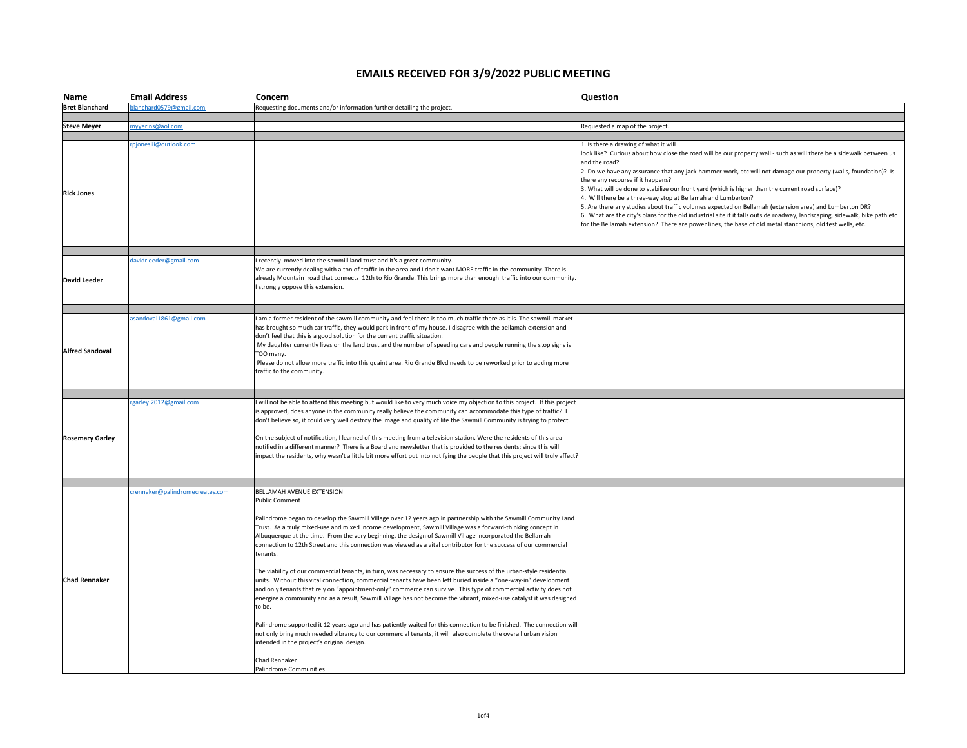| Name                   | <b>Email Address</b>           | Concern                                                                                                                                                                                                                                                                                                                                                                                                                                                                                                                                                                                                                                                                                                                                                                                                                                                                                                                                                                                                                                                                                                                                                                                                                                                                                                                                                           | Question                                                                                                                                                                                                                                                                                                                                                                                                                                                                                                                                                                                                                                                                                                                                                                                                                                                        |
|------------------------|--------------------------------|-------------------------------------------------------------------------------------------------------------------------------------------------------------------------------------------------------------------------------------------------------------------------------------------------------------------------------------------------------------------------------------------------------------------------------------------------------------------------------------------------------------------------------------------------------------------------------------------------------------------------------------------------------------------------------------------------------------------------------------------------------------------------------------------------------------------------------------------------------------------------------------------------------------------------------------------------------------------------------------------------------------------------------------------------------------------------------------------------------------------------------------------------------------------------------------------------------------------------------------------------------------------------------------------------------------------------------------------------------------------|-----------------------------------------------------------------------------------------------------------------------------------------------------------------------------------------------------------------------------------------------------------------------------------------------------------------------------------------------------------------------------------------------------------------------------------------------------------------------------------------------------------------------------------------------------------------------------------------------------------------------------------------------------------------------------------------------------------------------------------------------------------------------------------------------------------------------------------------------------------------|
| <b>Bret Blanchard</b>  | lanchard0579@gmail.com         | Requesting documents and/or information further detailing the project.                                                                                                                                                                                                                                                                                                                                                                                                                                                                                                                                                                                                                                                                                                                                                                                                                                                                                                                                                                                                                                                                                                                                                                                                                                                                                            |                                                                                                                                                                                                                                                                                                                                                                                                                                                                                                                                                                                                                                                                                                                                                                                                                                                                 |
|                        |                                |                                                                                                                                                                                                                                                                                                                                                                                                                                                                                                                                                                                                                                                                                                                                                                                                                                                                                                                                                                                                                                                                                                                                                                                                                                                                                                                                                                   |                                                                                                                                                                                                                                                                                                                                                                                                                                                                                                                                                                                                                                                                                                                                                                                                                                                                 |
| <b>Steve Meyer</b>     | nyyerins@aol.com               |                                                                                                                                                                                                                                                                                                                                                                                                                                                                                                                                                                                                                                                                                                                                                                                                                                                                                                                                                                                                                                                                                                                                                                                                                                                                                                                                                                   | Requested a map of the project.                                                                                                                                                                                                                                                                                                                                                                                                                                                                                                                                                                                                                                                                                                                                                                                                                                 |
| <b>Rick Jones</b>      | pjonesiii@outlook.com          |                                                                                                                                                                                                                                                                                                                                                                                                                                                                                                                                                                                                                                                                                                                                                                                                                                                                                                                                                                                                                                                                                                                                                                                                                                                                                                                                                                   | 1. Is there a drawing of what it will<br>look like? Curious about how close the road will be our property wall - such as will there be a sidewalk between us<br>and the road?<br>2. Do we have any assurance that any jack-hammer work, etc will not damage our property (walls, foundation)? Is<br>there any recourse if it happens?<br>3. What will be done to stabilize our front yard (which is higher than the current road surface)?<br>4. Will there be a three-way stop at Bellamah and Lumberton?<br>5. Are there any studies about traffic volumes expected on Bellamah (extension area) and Lumberton DR?<br>6. What are the city's plans for the old industrial site if it falls outside roadway, landscaping, sidewalk, bike path etc<br>for the Bellamah extension? There are power lines, the base of old metal stanchions, old test wells, etc. |
|                        |                                |                                                                                                                                                                                                                                                                                                                                                                                                                                                                                                                                                                                                                                                                                                                                                                                                                                                                                                                                                                                                                                                                                                                                                                                                                                                                                                                                                                   |                                                                                                                                                                                                                                                                                                                                                                                                                                                                                                                                                                                                                                                                                                                                                                                                                                                                 |
| <b>David Leeder</b>    | davidrleeder@gmail.com         | recently moved into the sawmill land trust and it's a great community.<br>We are currently dealing with a ton of traffic in the area and I don't want MORE traffic in the community. There is<br>already Mountain road that connects 12th to Rio Grande. This brings more than enough traffic into our community.<br>strongly oppose this extension.                                                                                                                                                                                                                                                                                                                                                                                                                                                                                                                                                                                                                                                                                                                                                                                                                                                                                                                                                                                                              |                                                                                                                                                                                                                                                                                                                                                                                                                                                                                                                                                                                                                                                                                                                                                                                                                                                                 |
|                        |                                |                                                                                                                                                                                                                                                                                                                                                                                                                                                                                                                                                                                                                                                                                                                                                                                                                                                                                                                                                                                                                                                                                                                                                                                                                                                                                                                                                                   |                                                                                                                                                                                                                                                                                                                                                                                                                                                                                                                                                                                                                                                                                                                                                                                                                                                                 |
| <b>Alfred Sandoval</b> | asandoval1861@gmail.com        | am a former resident of the sawmill community and feel there is too much traffic there as it is. The sawmill market<br>has brought so much car traffic, they would park in front of my house. I disagree with the bellamah extension and<br>don't feel that this is a good solution for the current traffic situation.<br>My daughter currently lives on the land trust and the number of speeding cars and people running the stop signs is<br>TOO manv.<br>Please do not allow more traffic into this quaint area. Rio Grande Blvd needs to be reworked prior to adding more<br>traffic to the community.                                                                                                                                                                                                                                                                                                                                                                                                                                                                                                                                                                                                                                                                                                                                                       |                                                                                                                                                                                                                                                                                                                                                                                                                                                                                                                                                                                                                                                                                                                                                                                                                                                                 |
|                        |                                |                                                                                                                                                                                                                                                                                                                                                                                                                                                                                                                                                                                                                                                                                                                                                                                                                                                                                                                                                                                                                                                                                                                                                                                                                                                                                                                                                                   |                                                                                                                                                                                                                                                                                                                                                                                                                                                                                                                                                                                                                                                                                                                                                                                                                                                                 |
| <b>Rosemary Garley</b> | garley.2012@gmail.com          | will not be able to attend this meeting but would like to very much voice my objection to this project. If this project<br>is approved, does anyone in the community really believe the community can accommodate this type of traffic? I<br>don't believe so, it could very well destroy the image and quality of life the Sawmill Community is trying to protect.<br>On the subject of notification, I learned of this meeting from a television station. Were the residents of this area<br>notified in a different manner? There is a Board and newsletter that is provided to the residents; since this will<br>impact the residents, why wasn't a little bit more effort put into notifying the people that this project will truly affect?                                                                                                                                                                                                                                                                                                                                                                                                                                                                                                                                                                                                                 |                                                                                                                                                                                                                                                                                                                                                                                                                                                                                                                                                                                                                                                                                                                                                                                                                                                                 |
|                        |                                |                                                                                                                                                                                                                                                                                                                                                                                                                                                                                                                                                                                                                                                                                                                                                                                                                                                                                                                                                                                                                                                                                                                                                                                                                                                                                                                                                                   |                                                                                                                                                                                                                                                                                                                                                                                                                                                                                                                                                                                                                                                                                                                                                                                                                                                                 |
| <b>Chad Rennaker</b>   | rennaker@palindromecreates.com | BELLAMAH AVENUE EXTENSION<br>Public Comment<br>Palindrome began to develop the Sawmill Village over 12 years ago in partnership with the Sawmill Community Land<br>Trust. As a truly mixed-use and mixed income development, Sawmill Village was a forward-thinking concept in<br>Albuquerque at the time. From the very beginning, the design of Sawmill Village incorporated the Bellamah<br>connection to 12th Street and this connection was viewed as a vital contributor for the success of our commercial<br>tenants.<br>The viability of our commercial tenants, in turn, was necessary to ensure the success of the urban-style residential<br>units. Without this vital connection, commercial tenants have been left buried inside a "one-way-in" development<br>and only tenants that rely on "appointment-only" commerce can survive. This type of commercial activity does not<br>energize a community and as a result, Sawmill Village has not become the vibrant, mixed-use catalyst it was designed<br>to be.<br>Palindrome supported it 12 years ago and has patiently waited for this connection to be finished. The connection will<br>not only bring much needed vibrancy to our commercial tenants, it will also complete the overall urban vision<br>intended in the project's original design.<br>Chad Rennaker<br>Palindrome Communities |                                                                                                                                                                                                                                                                                                                                                                                                                                                                                                                                                                                                                                                                                                                                                                                                                                                                 |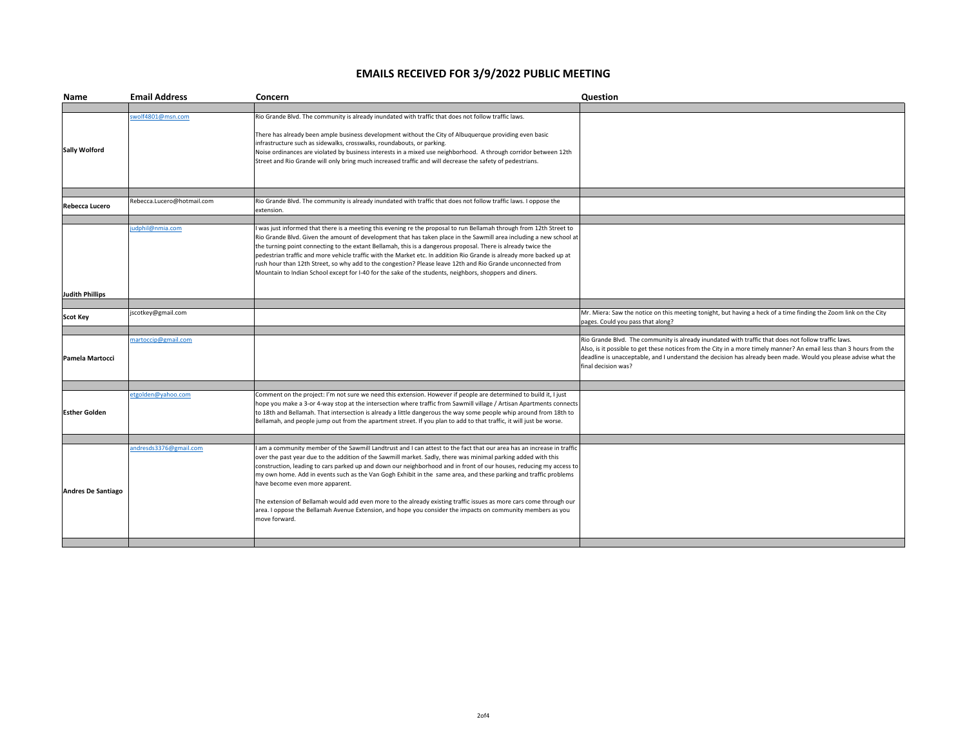| Name                      | <b>Email Address</b>       | Concern                                                                                                                                                                                                                                                                                                                                                                                                                                                                                                                                                                                                                                                                                                                                                                    | Question                                                                                                                                                                                                                                                                                                                                                              |
|---------------------------|----------------------------|----------------------------------------------------------------------------------------------------------------------------------------------------------------------------------------------------------------------------------------------------------------------------------------------------------------------------------------------------------------------------------------------------------------------------------------------------------------------------------------------------------------------------------------------------------------------------------------------------------------------------------------------------------------------------------------------------------------------------------------------------------------------------|-----------------------------------------------------------------------------------------------------------------------------------------------------------------------------------------------------------------------------------------------------------------------------------------------------------------------------------------------------------------------|
|                           |                            |                                                                                                                                                                                                                                                                                                                                                                                                                                                                                                                                                                                                                                                                                                                                                                            |                                                                                                                                                                                                                                                                                                                                                                       |
| <b>Sally Wolford</b>      | wolf4801@msn.com           | Rio Grande Blvd. The community is already inundated with traffic that does not follow traffic laws.<br>There has already been ample business development without the City of Albuquerque providing even basic<br>infrastructure such as sidewalks, crosswalks, roundabouts, or parking.<br>Noise ordinances are violated by business interests in a mixed use neighborhood. A through corridor between 12th<br>Street and Rio Grande will only bring much increased traffic and will decrease the safety of pedestrians.                                                                                                                                                                                                                                                   |                                                                                                                                                                                                                                                                                                                                                                       |
|                           |                            |                                                                                                                                                                                                                                                                                                                                                                                                                                                                                                                                                                                                                                                                                                                                                                            |                                                                                                                                                                                                                                                                                                                                                                       |
| Rebecca Lucero            | Rebecca.Lucero@hotmail.com | Rio Grande Blvd. The community is already inundated with traffic that does not follow traffic laws. I oppose the<br>extension.                                                                                                                                                                                                                                                                                                                                                                                                                                                                                                                                                                                                                                             |                                                                                                                                                                                                                                                                                                                                                                       |
|                           |                            |                                                                                                                                                                                                                                                                                                                                                                                                                                                                                                                                                                                                                                                                                                                                                                            |                                                                                                                                                                                                                                                                                                                                                                       |
|                           | udphil@nmia.com            | was just informed that there is a meeting this evening re the proposal to run Bellamah through from 12th Street to<br>Rio Grande Blvd. Given the amount of development that has taken place in the Sawmill area including a new school at<br>the turning point connecting to the extant Bellamah, this is a dangerous proposal. There is already twice the<br>pedestrian traffic and more vehicle traffic with the Market etc. In addition Rio Grande is already more backed up at<br>rush hour than 12th Street, so why add to the congestion? Please leave 12th and Rio Grande unconnected from<br>Mountain to Indian School except for I-40 for the sake of the students, neighbors, shoppers and diners.                                                               |                                                                                                                                                                                                                                                                                                                                                                       |
| <b>Judith Phillips</b>    |                            |                                                                                                                                                                                                                                                                                                                                                                                                                                                                                                                                                                                                                                                                                                                                                                            |                                                                                                                                                                                                                                                                                                                                                                       |
|                           |                            |                                                                                                                                                                                                                                                                                                                                                                                                                                                                                                                                                                                                                                                                                                                                                                            |                                                                                                                                                                                                                                                                                                                                                                       |
| <b>Scot Key</b>           | jscotkey@gmail.com         |                                                                                                                                                                                                                                                                                                                                                                                                                                                                                                                                                                                                                                                                                                                                                                            | Mr. Miera: Saw the notice on this meeting tonight, but having a heck of a time finding the Zoom link on the City<br>pages. Could you pass that along?                                                                                                                                                                                                                 |
|                           |                            |                                                                                                                                                                                                                                                                                                                                                                                                                                                                                                                                                                                                                                                                                                                                                                            |                                                                                                                                                                                                                                                                                                                                                                       |
| Pamela Martocci           | nartoccip@gmail.com        |                                                                                                                                                                                                                                                                                                                                                                                                                                                                                                                                                                                                                                                                                                                                                                            | Rio Grande Blvd. The community is already inundated with traffic that does not follow traffic laws.<br>Also, is it possible to get these notices from the City in a more timely manner? An email less than 3 hours from the<br>deadline is unacceptable, and I understand the decision has already been made. Would you please advise what the<br>final decision was? |
|                           |                            |                                                                                                                                                                                                                                                                                                                                                                                                                                                                                                                                                                                                                                                                                                                                                                            |                                                                                                                                                                                                                                                                                                                                                                       |
| <b>Esther Golden</b>      | etgolden@yahoo.com         | Comment on the project: I'm not sure we need this extension. However if people are determined to build it, I just<br>hope you make a 3-or 4-way stop at the intersection where traffic from Sawmill village / Artisan Apartments connects<br>to 18th and Bellamah. That intersection is already a little dangerous the way some people whip around from 18th to<br>Bellamah, and people jump out from the apartment street. If you plan to add to that traffic, it will just be worse.                                                                                                                                                                                                                                                                                     |                                                                                                                                                                                                                                                                                                                                                                       |
|                           |                            |                                                                                                                                                                                                                                                                                                                                                                                                                                                                                                                                                                                                                                                                                                                                                                            |                                                                                                                                                                                                                                                                                                                                                                       |
| <b>Andres De Santiago</b> | ndresds3376@gmail.com      | am a community member of the Sawmill Landtrust and I can attest to the fact that our area has an increase in traffic<br>over the past year due to the addition of the Sawmill market. Sadly, there was minimal parking added with this<br>construction, leading to cars parked up and down our neighborhood and in front of our houses, reducing my access to<br>my own home. Add in events such as the Van Gogh Exhibit in the same area, and these parking and traffic problems<br>have become even more apparent.<br>The extension of Bellamah would add even more to the already existing traffic issues as more cars come through our<br>area. I oppose the Bellamah Avenue Extension, and hope you consider the impacts on community members as you<br>move forward. |                                                                                                                                                                                                                                                                                                                                                                       |
|                           |                            |                                                                                                                                                                                                                                                                                                                                                                                                                                                                                                                                                                                                                                                                                                                                                                            |                                                                                                                                                                                                                                                                                                                                                                       |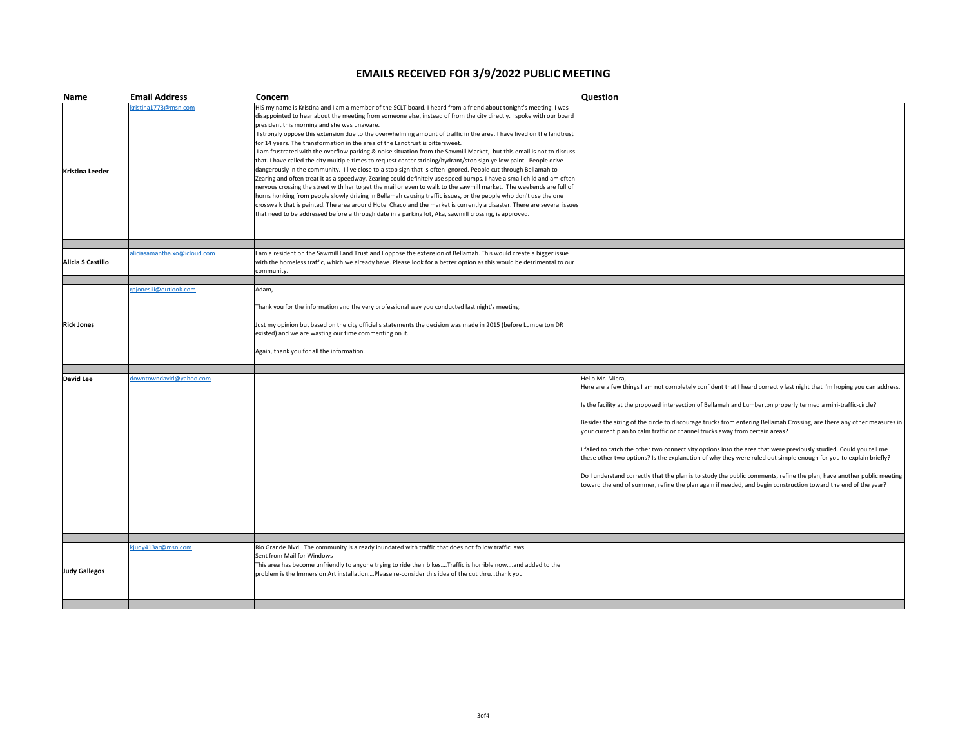| Name                     | <b>Email Address</b>        | Concern                                                                                                                                                                                                                                                                                                                                                                                                                                                                                                                                                                                                                                                                                                                                                                                                                                                                                                                                                                                                                                                                                                                                                                                                                                                                                                                                                                                                                                                                       | Question                                                                                                                                                                                                                                                                                                                                                                                                                                                                                                                                                                                                                                                                                                                                                                                                                                                                                                                              |
|--------------------------|-----------------------------|-------------------------------------------------------------------------------------------------------------------------------------------------------------------------------------------------------------------------------------------------------------------------------------------------------------------------------------------------------------------------------------------------------------------------------------------------------------------------------------------------------------------------------------------------------------------------------------------------------------------------------------------------------------------------------------------------------------------------------------------------------------------------------------------------------------------------------------------------------------------------------------------------------------------------------------------------------------------------------------------------------------------------------------------------------------------------------------------------------------------------------------------------------------------------------------------------------------------------------------------------------------------------------------------------------------------------------------------------------------------------------------------------------------------------------------------------------------------------------|---------------------------------------------------------------------------------------------------------------------------------------------------------------------------------------------------------------------------------------------------------------------------------------------------------------------------------------------------------------------------------------------------------------------------------------------------------------------------------------------------------------------------------------------------------------------------------------------------------------------------------------------------------------------------------------------------------------------------------------------------------------------------------------------------------------------------------------------------------------------------------------------------------------------------------------|
| <b>Kristina Leeder</b>   | cristina1773@msn.com        | HIS my name is Kristina and I am a member of the SCLT board. I heard from a friend about tonight's meeting. I was<br>disappointed to hear about the meeting from someone else, instead of from the city directly. I spoke with our board<br>president this morning and she was unaware.<br>I strongly oppose this extension due to the overwhelming amount of traffic in the area. I have lived on the landtrust<br>for 14 years. The transformation in the area of the Landtrust is bittersweet.<br>I am frustrated with the overflow parking & noise situation from the Sawmill Market, but this email is not to discuss<br>that. I have called the city multiple times to request center striping/hydrant/stop sign yellow paint. People drive<br>dangerously in the community. I live close to a stop sign that is often ignored. People cut through Bellamah to<br>Zearing and often treat it as a speedway. Zearing could definitely use speed bumps. I have a small child and am often<br>nervous crossing the street with her to get the mail or even to walk to the sawmill market. The weekends are full of<br>horns honking from people slowly driving in Bellamah causing traffic issues, or the people who don't use the one<br>crosswalk that is painted. The area around Hotel Chaco and the market is currently a disaster. There are several issues<br>that need to be addressed before a through date in a parking lot, Aka, sawmill crossing, is approved. |                                                                                                                                                                                                                                                                                                                                                                                                                                                                                                                                                                                                                                                                                                                                                                                                                                                                                                                                       |
|                          |                             |                                                                                                                                                                                                                                                                                                                                                                                                                                                                                                                                                                                                                                                                                                                                                                                                                                                                                                                                                                                                                                                                                                                                                                                                                                                                                                                                                                                                                                                                               |                                                                                                                                                                                                                                                                                                                                                                                                                                                                                                                                                                                                                                                                                                                                                                                                                                                                                                                                       |
| <b>Alicia S Castillo</b> | diciasamantha.xo@icloud.com | I am a resident on the Sawmill Land Trust and I oppose the extension of Bellamah. This would create a bigger issue<br>with the homeless traffic, which we already have. Please look for a better option as this would be detrimental to our<br>community.                                                                                                                                                                                                                                                                                                                                                                                                                                                                                                                                                                                                                                                                                                                                                                                                                                                                                                                                                                                                                                                                                                                                                                                                                     |                                                                                                                                                                                                                                                                                                                                                                                                                                                                                                                                                                                                                                                                                                                                                                                                                                                                                                                                       |
|                          |                             | Adam,                                                                                                                                                                                                                                                                                                                                                                                                                                                                                                                                                                                                                                                                                                                                                                                                                                                                                                                                                                                                                                                                                                                                                                                                                                                                                                                                                                                                                                                                         |                                                                                                                                                                                                                                                                                                                                                                                                                                                                                                                                                                                                                                                                                                                                                                                                                                                                                                                                       |
|                          | pjonesiii@outlook.com       | Thank you for the information and the very professional way you conducted last night's meeting.                                                                                                                                                                                                                                                                                                                                                                                                                                                                                                                                                                                                                                                                                                                                                                                                                                                                                                                                                                                                                                                                                                                                                                                                                                                                                                                                                                               |                                                                                                                                                                                                                                                                                                                                                                                                                                                                                                                                                                                                                                                                                                                                                                                                                                                                                                                                       |
| <b>Rick Jones</b>        |                             | Just my opinion but based on the city official's statements the decision was made in 2015 (before Lumberton DR<br>existed) and we are wasting our time commenting on it.                                                                                                                                                                                                                                                                                                                                                                                                                                                                                                                                                                                                                                                                                                                                                                                                                                                                                                                                                                                                                                                                                                                                                                                                                                                                                                      |                                                                                                                                                                                                                                                                                                                                                                                                                                                                                                                                                                                                                                                                                                                                                                                                                                                                                                                                       |
|                          |                             | Again, thank you for all the information.                                                                                                                                                                                                                                                                                                                                                                                                                                                                                                                                                                                                                                                                                                                                                                                                                                                                                                                                                                                                                                                                                                                                                                                                                                                                                                                                                                                                                                     |                                                                                                                                                                                                                                                                                                                                                                                                                                                                                                                                                                                                                                                                                                                                                                                                                                                                                                                                       |
|                          |                             |                                                                                                                                                                                                                                                                                                                                                                                                                                                                                                                                                                                                                                                                                                                                                                                                                                                                                                                                                                                                                                                                                                                                                                                                                                                                                                                                                                                                                                                                               | Hello Mr. Miera.                                                                                                                                                                                                                                                                                                                                                                                                                                                                                                                                                                                                                                                                                                                                                                                                                                                                                                                      |
| <b>David Lee</b>         | lowntowndavid@yahoo.com     |                                                                                                                                                                                                                                                                                                                                                                                                                                                                                                                                                                                                                                                                                                                                                                                                                                                                                                                                                                                                                                                                                                                                                                                                                                                                                                                                                                                                                                                                               | Here are a few things I am not completely confident that I heard correctly last night that I'm hoping you can address.<br>Is the facility at the proposed intersection of Bellamah and Lumberton properly termed a mini-traffic-circle?<br>Besides the sizing of the circle to discourage trucks from entering Bellamah Crossing, are there any other measures in<br>your current plan to calm traffic or channel trucks away from certain areas?<br>I failed to catch the other two connectivity options into the area that were previously studied. Could you tell me<br>these other two options? Is the explanation of why they were ruled out simple enough for you to explain briefly?<br>Do I understand correctly that the plan is to study the public comments, refine the plan, have another public meeting<br>toward the end of summer, refine the plan again if needed, and begin construction toward the end of the year? |
| <b>Judy Gallegos</b>     | iudy413ar@msn.com           | Rio Grande Blvd. The community is already inundated with traffic that does not follow traffic laws.<br>Sent from Mail for Windows<br>This area has become unfriendly to anyone trying to ride their bikesTraffic is horrible nowand added to the<br>problem is the Immersion Art installationPlease re-consider this idea of the cut thruthank you                                                                                                                                                                                                                                                                                                                                                                                                                                                                                                                                                                                                                                                                                                                                                                                                                                                                                                                                                                                                                                                                                                                            |                                                                                                                                                                                                                                                                                                                                                                                                                                                                                                                                                                                                                                                                                                                                                                                                                                                                                                                                       |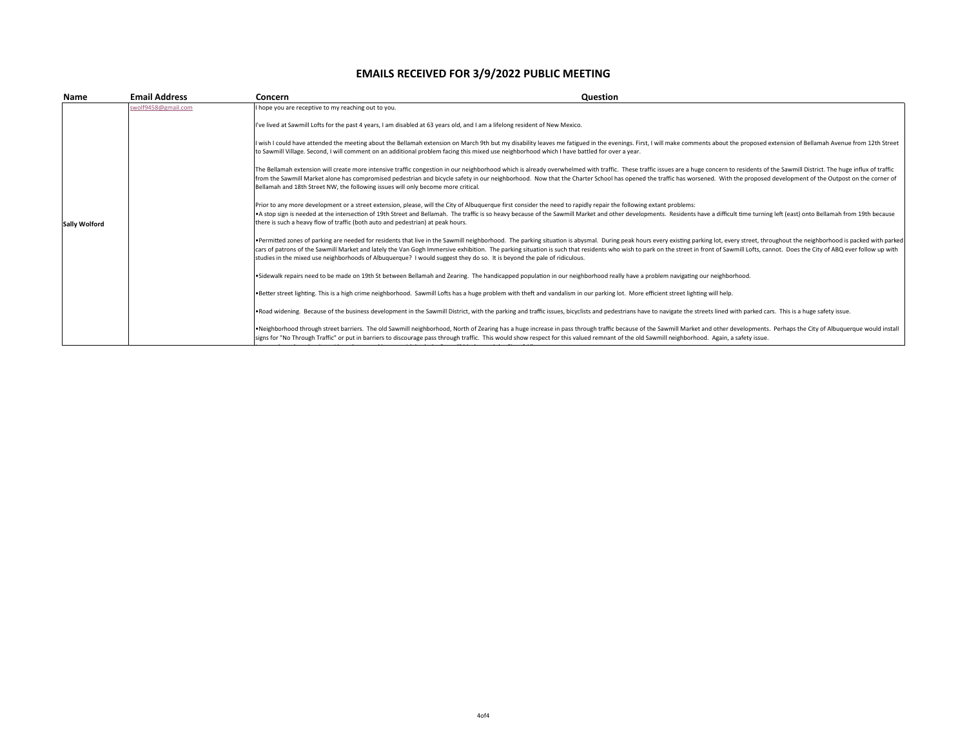| Name                 | <b>Email Address</b> | Question<br>Concern                                                                                                                                                                                                                                                                                                                                                                                                                                                                                                                                                                                                                                                                                                                                                                                                                                                                                                                                                                                                                                                                                                                                                                                                                                                                                                                                                                                                                                                                                                                   |  |
|----------------------|----------------------|---------------------------------------------------------------------------------------------------------------------------------------------------------------------------------------------------------------------------------------------------------------------------------------------------------------------------------------------------------------------------------------------------------------------------------------------------------------------------------------------------------------------------------------------------------------------------------------------------------------------------------------------------------------------------------------------------------------------------------------------------------------------------------------------------------------------------------------------------------------------------------------------------------------------------------------------------------------------------------------------------------------------------------------------------------------------------------------------------------------------------------------------------------------------------------------------------------------------------------------------------------------------------------------------------------------------------------------------------------------------------------------------------------------------------------------------------------------------------------------------------------------------------------------|--|
| <b>Sally Wolford</b> | swolf9458@gmail.com  | I hope you are receptive to my reaching out to you.<br>I've lived at Sawmill Lofts for the past 4 years, I am disabled at 63 years old, and I am a lifelong resident of New Mexico.<br>I wish I could have attended the meeting about the Bellamah extension on March 9th but my disability leaves me fatigued in the evenings. First, I will make comments about the proposed extension of Bellamah Avenue from 12th<br>to Sawmill Village. Second, I will comment on an additional problem facing this mixed use neighborhood which I have battled for over a year.<br>The Bellamah extension will create more intensive traffic congestion in our neighborhood which is already overwhelmed with traffic. These traffic issues are a huge concern to residents of the Sawmill District. The huge inf<br>from the Sawmill Market alone has compromised pedestrian and bicycle safety in our neighborhood. Now that the Charter School has opened the traffic has worsened. With the proposed development of the Outpost on the corner o<br>Bellamah and 18th Street NW, the following issues will only become more critical.<br>Prior to any more development or a street extension, please, will the City of Albuquerque first consider the need to rapidly repair the following extant problems:<br>. A stop sign is needed at the intersection of 19th Street and Bellamah. The traffic is so heavy because of the Sawmill Market and other developments. Residents have a difficult time turning left (east) onto Bellamah from |  |
|                      |                      | there is such a heavy flow of traffic (both auto and pedestrian) at peak hours.<br>. Permitted zones of parking are needed for residents that live in the Sawmill neighborhood. The parking situation is abysmal. During peak hours every existing parking lot, every street, throughout the neighborhood is pack<br>cars of patrons of the Sawmill Market and lately the Van Gogh Immersive exhibition. The parking situation is such that residents who wish to park on the street in front of Sawmill Lofts, cannot. Does the City of ABQ ever f                                                                                                                                                                                                                                                                                                                                                                                                                                                                                                                                                                                                                                                                                                                                                                                                                                                                                                                                                                                   |  |
|                      |                      | studies in the mixed use neighborhoods of Albuquerque? I would suggest they do so. It is beyond the pale of ridiculous.<br>•Sidewalk repairs need to be made on 19th St between Bellamah and Zearing. The handicapped population in our neighborhood really have a problem navigating our neighborhood.<br>.9Better street lighting. This is a high crime neighborhood. Sawmill Lofts has a huge problem with theft and vandalism in our parking lot. More efficient street lighting will help.                                                                                                                                                                                                                                                                                                                                                                                                                                                                                                                                                                                                                                                                                                                                                                                                                                                                                                                                                                                                                                       |  |
|                      |                      | .Road widening. Because of the business development in the Sawmill District, with the parking and traffic issues, bicyclists and pedestrians have to navigate the streets lined with parked cars. This is a huge safety issue.<br>. Neighborhood through street barriers. The old Sawmill neighborhood, North of Zearing has a huge increase in pass through traffic because of the Sawmill Market and other developments. Perhaps the City of Albuquerque would<br>signs for "No Through Traffic" or put in barriers to discourage pass through traffic. This would show respect for this valued remnant of the old Sawmill neighborhood. Again, a safety issue.                                                                                                                                                                                                                                                                                                                                                                                                                                                                                                                                                                                                                                                                                                                                                                                                                                                                     |  |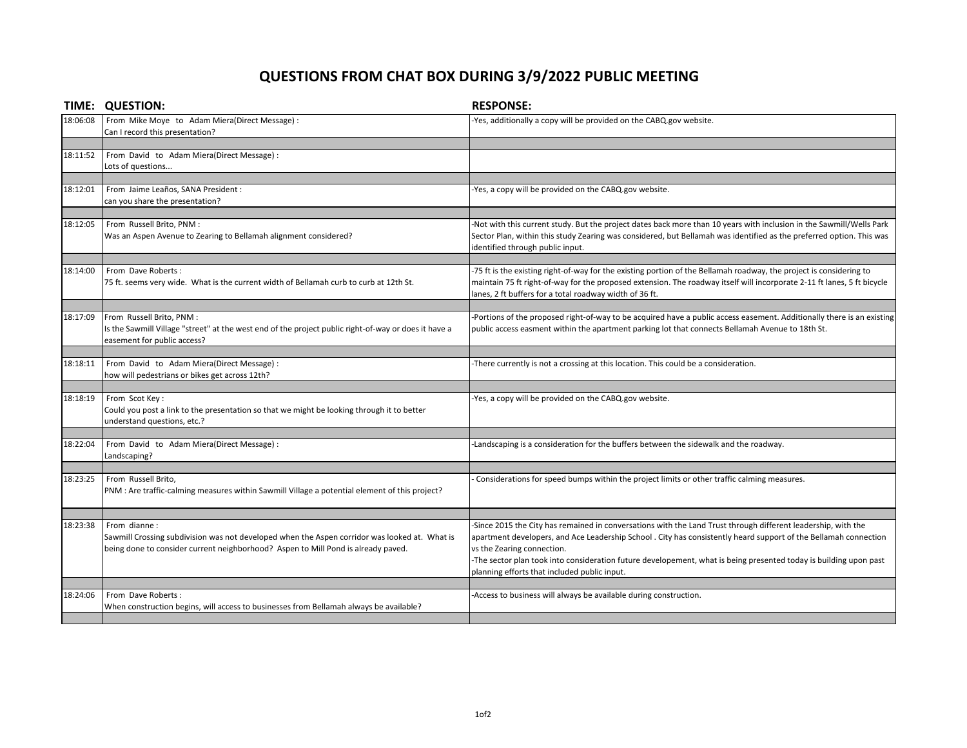## **QUESTIONS FROM CHAT BOX DURING 3/9/2022 PUBLIC MEETING**

|          | TIME: QUESTION:                                                                                                                                                                                    | <b>RESPONSE:</b>                                                                                                                                                                                                                                                                                                                                                                                                                    |
|----------|----------------------------------------------------------------------------------------------------------------------------------------------------------------------------------------------------|-------------------------------------------------------------------------------------------------------------------------------------------------------------------------------------------------------------------------------------------------------------------------------------------------------------------------------------------------------------------------------------------------------------------------------------|
| 18:06:08 | From Mike Moye to Adam Miera (Direct Message) :<br>Can I record this presentation?                                                                                                                 | -Yes, additionally a copy will be provided on the CABQ.gov website.                                                                                                                                                                                                                                                                                                                                                                 |
|          |                                                                                                                                                                                                    |                                                                                                                                                                                                                                                                                                                                                                                                                                     |
| 18:11:52 | From David to Adam Miera(Direct Message) :<br>Lots of questions                                                                                                                                    |                                                                                                                                                                                                                                                                                                                                                                                                                                     |
|          |                                                                                                                                                                                                    |                                                                                                                                                                                                                                                                                                                                                                                                                                     |
| 18:12:01 | From Jaime Leaños, SANA President :<br>can you share the presentation?                                                                                                                             | Yes, a copy will be provided on the CABQ.gov website.                                                                                                                                                                                                                                                                                                                                                                               |
| 18:12:05 | From Russell Brito, PNM :<br>Was an Aspen Avenue to Zearing to Bellamah alignment considered?                                                                                                      | -Not with this current study. But the project dates back more than 10 years with inclusion in the Sawmill/Wells Park<br>Sector Plan, within this study Zearing was considered, but Bellamah was identified as the preferred option. This was<br>identified through public input.                                                                                                                                                    |
| 18:14:00 | From Dave Roberts:<br>75 ft. seems very wide. What is the current width of Bellamah curb to curb at 12th St.                                                                                       | -75 ft is the existing right-of-way for the existing portion of the Bellamah roadway, the project is considering to<br>maintain 75 ft right-of-way for the proposed extension. The roadway itself will incorporate 2-11 ft lanes, 5 ft bicycle<br>lanes, 2 ft buffers for a total roadway width of 36 ft.                                                                                                                           |
| 18:17:09 | From Russell Brito, PNM :<br>Is the Sawmill Village "street" at the west end of the project public right-of-way or does it have a<br>easement for public access?                                   | Portions of the proposed right-of-way to be acquired have a public access easement. Additionally there is an existing<br>public access easment within the apartment parking lot that connects Bellamah Avenue to 18th St.                                                                                                                                                                                                           |
|          |                                                                                                                                                                                                    |                                                                                                                                                                                                                                                                                                                                                                                                                                     |
| 18:18:11 | From David to Adam Miera(Direct Message) :<br>how will pedestrians or bikes get across 12th?                                                                                                       | -There currently is not a crossing at this location. This could be a consideration.                                                                                                                                                                                                                                                                                                                                                 |
|          |                                                                                                                                                                                                    |                                                                                                                                                                                                                                                                                                                                                                                                                                     |
| 18:18:19 | From Scot Key:<br>Could you post a link to the presentation so that we might be looking through it to better<br>understand questions, etc.?                                                        | Yes, a copy will be provided on the CABQ.gov website.                                                                                                                                                                                                                                                                                                                                                                               |
|          |                                                                                                                                                                                                    |                                                                                                                                                                                                                                                                                                                                                                                                                                     |
| 18:22:04 | From David to Adam Miera(Direct Message) :<br>Landscaping?                                                                                                                                         | Landscaping is a consideration for the buffers between the sidewalk and the roadway.                                                                                                                                                                                                                                                                                                                                                |
|          |                                                                                                                                                                                                    |                                                                                                                                                                                                                                                                                                                                                                                                                                     |
| 18:23:25 | From Russell Brito,<br>PNM : Are traffic-calming measures within Sawmill Village a potential element of this project?                                                                              | Considerations for speed bumps within the project limits or other traffic calming measures.                                                                                                                                                                                                                                                                                                                                         |
|          |                                                                                                                                                                                                    |                                                                                                                                                                                                                                                                                                                                                                                                                                     |
| 18:23:38 | From dianne:<br>Sawmill Crossing subdivision was not developed when the Aspen corridor was looked at. What is<br>being done to consider current neighborhood? Aspen to Mill Pond is already paved. | -Since 2015 the City has remained in conversations with the Land Trust through different leadership, with the<br>apartment developers, and Ace Leadership School . City has consistently heard support of the Bellamah connection<br>vs the Zearing connection.<br>The sector plan took into consideration future developement, what is being presented today is building upon past<br>planning efforts that included public input. |
|          |                                                                                                                                                                                                    |                                                                                                                                                                                                                                                                                                                                                                                                                                     |
| 18:24:06 | From Dave Roberts:<br>When construction begins, will access to businesses from Bellamah always be available?                                                                                       | Access to business will always be available during construction.                                                                                                                                                                                                                                                                                                                                                                    |
|          |                                                                                                                                                                                                    |                                                                                                                                                                                                                                                                                                                                                                                                                                     |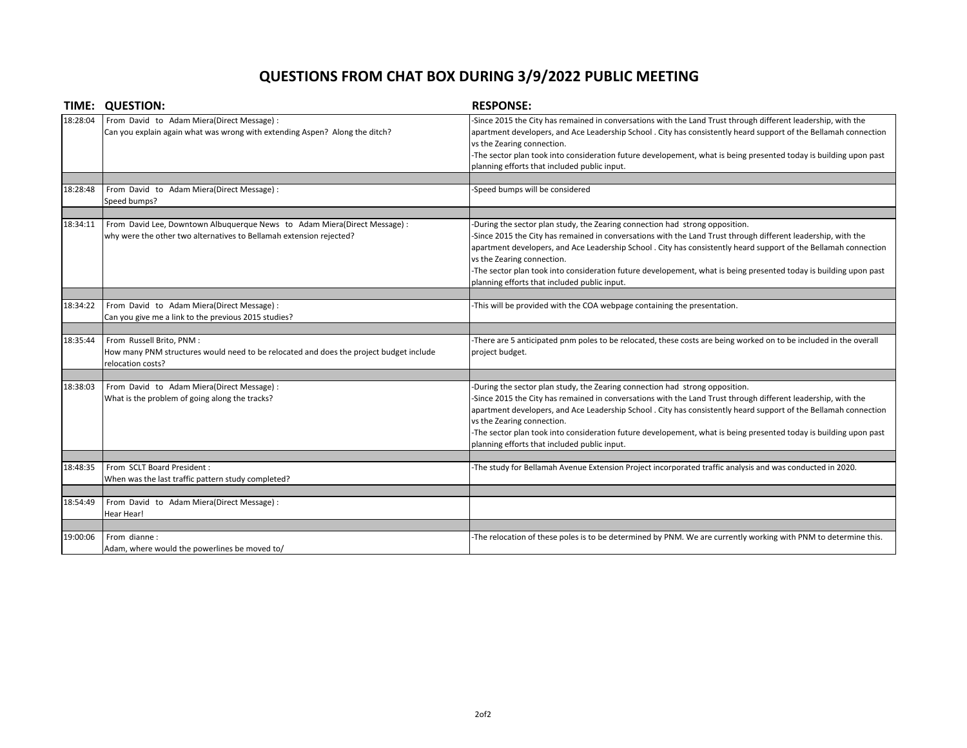## **QUESTIONS FROM CHAT BOX DURING 3/9/2022 PUBLIC MEETING**

|          | TIME: QUESTION:                                                                                                                                  | <b>RESPONSE:</b>                                                                                                                                                                                                                                                                                                                                                                                                                                                                                                     |
|----------|--------------------------------------------------------------------------------------------------------------------------------------------------|----------------------------------------------------------------------------------------------------------------------------------------------------------------------------------------------------------------------------------------------------------------------------------------------------------------------------------------------------------------------------------------------------------------------------------------------------------------------------------------------------------------------|
| 18:28:04 | From David to Adam Miera(Direct Message):<br>Can you explain again what was wrong with extending Aspen? Along the ditch?                         | -Since 2015 the City has remained in conversations with the Land Trust through different leadership, with the<br>apartment developers, and Ace Leadership School . City has consistently heard support of the Bellamah connection<br>vs the Zearing connection.<br>-The sector plan took into consideration future developement, what is being presented today is building upon past<br>planning efforts that included public input.                                                                                 |
| 18:28:48 | From David to Adam Miera(Direct Message) :                                                                                                       | -Speed bumps will be considered                                                                                                                                                                                                                                                                                                                                                                                                                                                                                      |
|          | Speed bumps?                                                                                                                                     |                                                                                                                                                                                                                                                                                                                                                                                                                                                                                                                      |
|          |                                                                                                                                                  |                                                                                                                                                                                                                                                                                                                                                                                                                                                                                                                      |
| 18:34:11 | From David Lee, Downtown Albuquerque News to Adam Miera(Direct Message) :<br>why were the other two alternatives to Bellamah extension rejected? | -During the sector plan study, the Zearing connection had strong opposition.<br>-Since 2015 the City has remained in conversations with the Land Trust through different leadership, with the<br>apartment developers, and Ace Leadership School. City has consistently heard support of the Bellamah connection<br>vs the Zearing connection.<br>-The sector plan took into consideration future developement, what is being presented today is building upon past<br>planning efforts that included public input.  |
|          |                                                                                                                                                  |                                                                                                                                                                                                                                                                                                                                                                                                                                                                                                                      |
| 18:34:22 | From David to Adam Miera(Direct Message):<br>Can you give me a link to the previous 2015 studies?                                                | -This will be provided with the COA webpage containing the presentation.                                                                                                                                                                                                                                                                                                                                                                                                                                             |
|          |                                                                                                                                                  |                                                                                                                                                                                                                                                                                                                                                                                                                                                                                                                      |
| 18:35:44 | From Russell Brito, PNM :<br>How many PNM structures would need to be relocated and does the project budget include<br>relocation costs?         | -There are 5 anticipated pnm poles to be relocated, these costs are being worked on to be included in the overall<br>project budget.                                                                                                                                                                                                                                                                                                                                                                                 |
|          |                                                                                                                                                  |                                                                                                                                                                                                                                                                                                                                                                                                                                                                                                                      |
| 18:38:03 | From David to Adam Miera(Direct Message) :<br>What is the problem of going along the tracks?                                                     | -During the sector plan study, the Zearing connection had strong opposition.<br>-Since 2015 the City has remained in conversations with the Land Trust through different leadership, with the<br>apartment developers, and Ace Leadership School . City has consistently heard support of the Bellamah connection<br>vs the Zearing connection.<br>-The sector plan took into consideration future developement, what is being presented today is building upon past<br>planning efforts that included public input. |
|          |                                                                                                                                                  |                                                                                                                                                                                                                                                                                                                                                                                                                                                                                                                      |
| 18:48:35 | From SCLT Board President:<br>When was the last traffic pattern study completed?                                                                 | -The study for Bellamah Avenue Extension Project incorporated traffic analysis and was conducted in 2020.                                                                                                                                                                                                                                                                                                                                                                                                            |
|          |                                                                                                                                                  |                                                                                                                                                                                                                                                                                                                                                                                                                                                                                                                      |
| 18:54:49 | From David to Adam Miera(Direct Message):<br>Hear Hear!                                                                                          |                                                                                                                                                                                                                                                                                                                                                                                                                                                                                                                      |
|          |                                                                                                                                                  |                                                                                                                                                                                                                                                                                                                                                                                                                                                                                                                      |
| 19:00:06 | From dianne:<br>Adam, where would the powerlines be moved to/                                                                                    | -The relocation of these poles is to be determined by PNM. We are currently working with PNM to determine this.                                                                                                                                                                                                                                                                                                                                                                                                      |